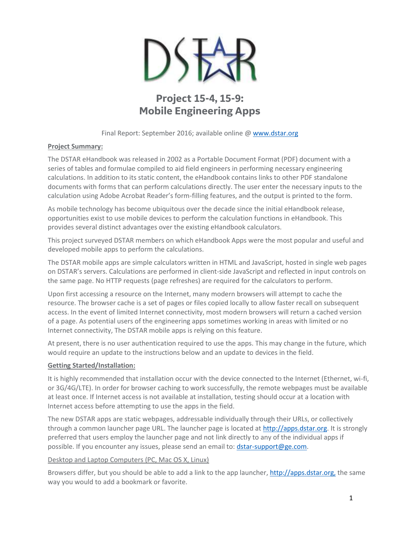

# **Project 15-4, 15-9: Mobile Engineering Apps**

Final Report: September 2016; available online @ [www.dstar.org](http://www.dstar.org/research/project/102/P15-4-development-of-engineering-mobile-apps)

### **Project Summary:**

The DSTAR eHandbook was released in 2002 as a Portable Document Format (PDF) document with a series of tables and formulae compiled to aid field engineers in performing necessary engineering calculations. In addition to its static content, the eHandbook contains links to other PDF standalone documents with forms that can perform calculations directly. The user enter the necessary inputs to the calculation using Adobe Acrobat Reader's form-filling features, and the output is printed to the form.

As mobile technology has become ubiquitous over the decade since the initial eHandbook release, opportunities exist to use mobile devices to perform the calculation functions in eHandbook. This provides several distinct advantages over the existing eHandbook calculators.

This project surveyed DSTAR members on which eHandbook Apps were the most popular and useful and developed mobile apps to perform the calculations.

The DSTAR mobile apps are simple calculators written in HTML and JavaScript, hosted in single web pages on DSTAR's servers. Calculations are performed in client-side JavaScript and reflected in input controls on the same page. No HTTP requests (page refreshes) are required for the calculators to perform.

Upon first accessing a resource on the Internet, many modern browsers will attempt to cache the resource. The browser cache is a set of pages or files copied locally to allow faster recall on subsequent access. In the event of limited Internet connectivity, most modern browsers will return a cached version of a page. As potential users of the engineering apps sometimes working in areas with limited or no Internet connectivity, The DSTAR mobile apps is relying on this feature.

At present, there is no user authentication required to use the apps. This may change in the future, which would require an update to the instructions below and an update to devices in the field.

## **Getting Started/Installation:**

It is highly recommended that installation occur with the device connected to the Internet (Ethernet, wi-fi, or 3G/4G/LTE). In order for browser caching to work successfully, the remote webpages must be available at least once. If Internet access is not available at installation, testing should occur at a location with Internet access before attempting to use the apps in the field.

The new DSTAR apps are static webpages, addressable individually through their URLs, or collectively through a common launcher page URL. The launcher page is located at [http://apps.dstar.org.](http://apps.dstar.org/) It is strongly preferred that users employ the launcher page and not link directly to any of the individual apps if possible. If you encounter any issues, please send an email to: [dstar-support@ge.com.](mailto:dstar-support@ge.com)

#### Desktop and Laptop Computers (PC, Mac OS X, Linux)

Browsers differ, but you should be able to add a link to the app launcher, [http://apps.dstar.org,](http://apps.dstar.org/) the same way you would to add a bookmark or favorite.